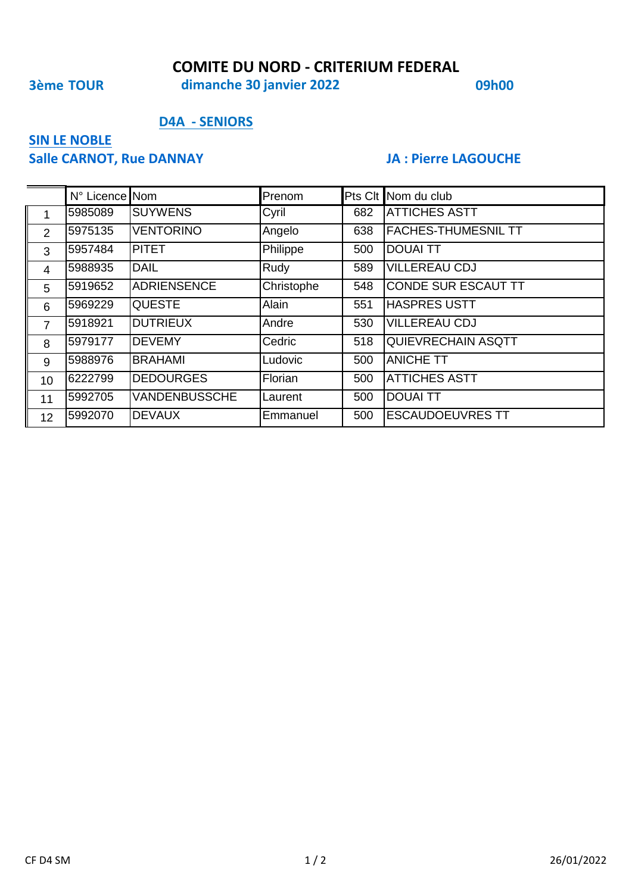### **COMITE DU NORD - CRITERIUM FEDERAL**

**3ème TOUR 09h00 dimanche 30 janvier 2022**

### **D4A - SENIORS**

# **SIN LE NOBLE**

# **Salle CARNOT, Rue DANNAY JA : Pierre LAGOUCHE**

|                | N° Licence Nom |                      | Prenom       |     | Pts Clt Nom du club        |
|----------------|----------------|----------------------|--------------|-----|----------------------------|
| $\mathbf 1$    | 5985089        | <b>SUYWENS</b>       | Cyril        | 682 | <b>ATTICHES ASTT</b>       |
| 2              | 5975135        | <b>VENTORINO</b>     | Angelo       | 638 | <b>FACHES-THUMESNIL TT</b> |
| 3              | 5957484        | <b>PITET</b>         | Philippe     | 500 | <b>DOUAI TT</b>            |
| $\overline{4}$ | 5988935        | <b>DAIL</b>          | Rudy         | 589 | <b>VILLEREAU CDJ</b>       |
| 5              | 5919652        | <b>ADRIENSENCE</b>   | Christophe   | 548 | <b>CONDE SUR ESCAUT TT</b> |
| 6              | 5969229        | <b>QUESTE</b>        | <b>Alain</b> | 551 | <b>HASPRES USTT</b>        |
| 7              | 5918921        | <b>DUTRIEUX</b>      | Andre        | 530 | <b>VILLEREAU CDJ</b>       |
| 8              | 5979177        | <b>DEVEMY</b>        | Cedric       | 518 | <b>QUIEVRECHAIN ASQTT</b>  |
| 9              | 5988976        | <b>BRAHAMI</b>       | Ludovic      | 500 | <b>ANICHE TT</b>           |
| 10             | 6222799        | <b>DEDOURGES</b>     | Florian      | 500 | <b>ATTICHES ASTT</b>       |
| 11             | 5992705        | <b>VANDENBUSSCHE</b> | Laurent      | 500 | <b>DOUAI TT</b>            |
| 12             | 5992070        | <b>DEVAUX</b>        | Emmanuel     | 500 | <b>ESCAUDOEUVRES TT</b>    |